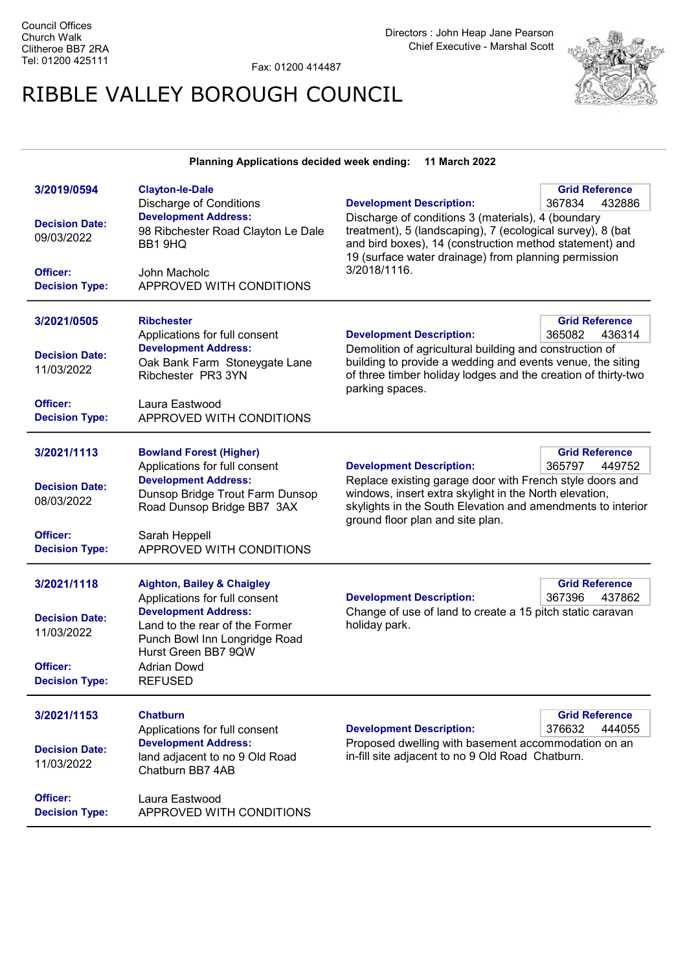Fax: 01200 414487

## RIBBLE VALLEY BOROUGH COUNCIL



| <b>Planning Applications decided week ending:</b><br>11 March 2022 |                                                                                                                       |                                                                                                                                                                                                                                                                  |                                           |
|--------------------------------------------------------------------|-----------------------------------------------------------------------------------------------------------------------|------------------------------------------------------------------------------------------------------------------------------------------------------------------------------------------------------------------------------------------------------------------|-------------------------------------------|
| 3/2019/0594                                                        | <b>Clayton-le-Dale</b><br><b>Discharge of Conditions</b>                                                              | <b>Development Description:</b>                                                                                                                                                                                                                                  | <b>Grid Reference</b><br>367834<br>432886 |
| <b>Decision Date:</b><br>09/03/2022                                | <b>Development Address:</b><br>98 Ribchester Road Clayton Le Dale<br>BB1 9HQ                                          | Discharge of conditions 3 (materials), 4 (boundary<br>treatment), 5 (landscaping), 7 (ecological survey), 8 (bat<br>and bird boxes), 14 (construction method statement) and<br>19 (surface water drainage) from planning permission                              |                                           |
| <b>Officer:</b><br><b>Decision Type:</b>                           | John Macholc<br>APPROVED WITH CONDITIONS                                                                              | 3/2018/1116.                                                                                                                                                                                                                                                     |                                           |
| 3/2021/0505                                                        | <b>Ribchester</b>                                                                                                     |                                                                                                                                                                                                                                                                  | <b>Grid Reference</b>                     |
| <b>Decision Date:</b><br>11/03/2022                                | Applications for full consent<br><b>Development Address:</b><br>Oak Bank Farm Stoneygate Lane<br>Ribchester PR3 3YN   | <b>Development Description:</b><br>365082<br>436314<br>Demolition of agricultural building and construction of<br>building to provide a wedding and events venue, the siting<br>of three timber holiday lodges and the creation of thirty-two<br>parking spaces. |                                           |
| Officer:<br><b>Decision Type:</b>                                  | Laura Eastwood<br>APPROVED WITH CONDITIONS                                                                            |                                                                                                                                                                                                                                                                  |                                           |
| 3/2021/1113                                                        | <b>Bowland Forest (Higher)</b><br>Applications for full consent                                                       | <b>Development Description:</b>                                                                                                                                                                                                                                  | <b>Grid Reference</b><br>365797<br>449752 |
| <b>Decision Date:</b><br>08/03/2022                                | <b>Development Address:</b><br>Dunsop Bridge Trout Farm Dunsop<br>Road Dunsop Bridge BB7 3AX                          | Replace existing garage door with French style doors and<br>windows, insert extra skylight in the North elevation,<br>skylights in the South Elevation and amendments to interior<br>ground floor plan and site plan.                                            |                                           |
| Officer:<br><b>Decision Type:</b>                                  | Sarah Heppell<br>APPROVED WITH CONDITIONS                                                                             |                                                                                                                                                                                                                                                                  |                                           |
| 3/2021/1118                                                        | <b>Aighton, Bailey &amp; Chaigley</b><br>Applications for full consent                                                | <b>Development Description:</b>                                                                                                                                                                                                                                  | <b>Grid Reference</b><br>367396<br>437862 |
| <b>Decision Date:</b><br>11/03/2022                                | <b>Development Address:</b><br>Land to the rear of the Former<br>Punch Bowl Inn Longridge Road<br>Hurst Green BB7 9QW | Change of use of land to create a 15 pitch static caravan<br>holiday park.                                                                                                                                                                                       |                                           |
| Officer:<br><b>Decision Type:</b>                                  | <b>Adrian Dowd</b><br><b>REFUSED</b>                                                                                  |                                                                                                                                                                                                                                                                  |                                           |
| 3/2021/1153                                                        | <b>Chatburn</b><br>Applications for full consent                                                                      | <b>Development Description:</b>                                                                                                                                                                                                                                  | <b>Grid Reference</b><br>376632<br>444055 |
| <b>Decision Date:</b><br>11/03/2022                                | <b>Development Address:</b><br>land adjacent to no 9 Old Road<br>Chatburn BB7 4AB                                     | Proposed dwelling with basement accommodation on an<br>in-fill site adjacent to no 9 Old Road Chatburn.                                                                                                                                                          |                                           |
| Officer:<br><b>Decision Type:</b>                                  | Laura Eastwood<br>APPROVED WITH CONDITIONS                                                                            |                                                                                                                                                                                                                                                                  |                                           |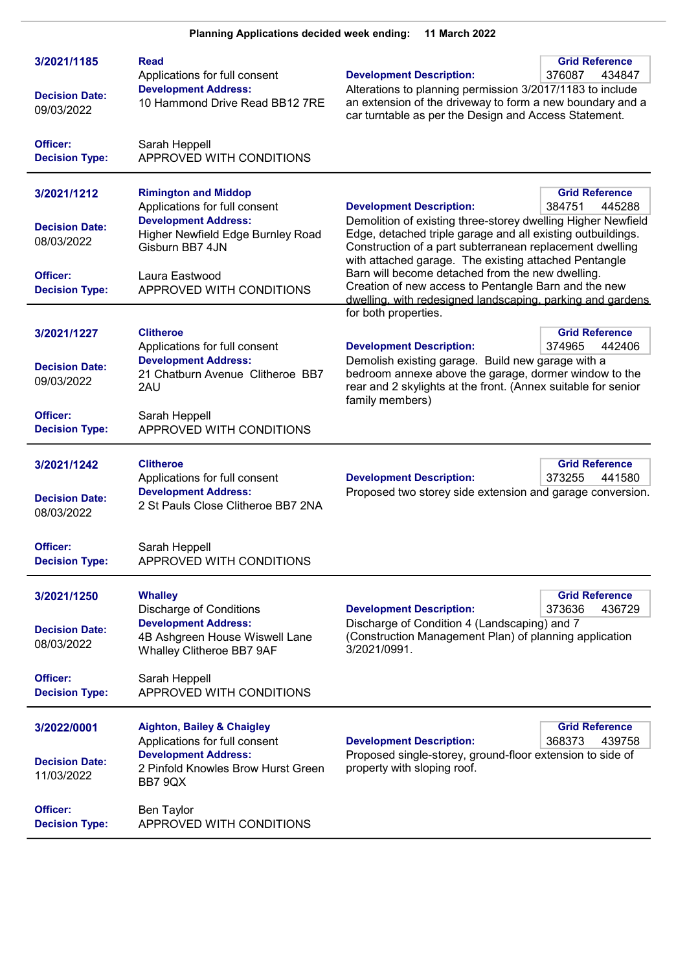| 3/2021/1185<br><b>Decision Date:</b><br>09/03/2022 | Read<br>Applications for full consent<br><b>Development Address:</b><br>10 Hammond Drive Read BB12 7RE | <b>Grid Reference</b><br><b>Development Description:</b><br>376087<br>434847<br>Alterations to planning permission 3/2017/1183 to include<br>an extension of the driveway to form a new boundary and a<br>car turntable as per the Design and Access Statement. |  |
|----------------------------------------------------|--------------------------------------------------------------------------------------------------------|-----------------------------------------------------------------------------------------------------------------------------------------------------------------------------------------------------------------------------------------------------------------|--|
| Officer:<br><b>Decision Type:</b>                  | Sarah Heppell<br>APPROVED WITH CONDITIONS                                                              |                                                                                                                                                                                                                                                                 |  |
| 3/2021/1212                                        | <b>Rimington and Middop</b><br>Applications for full consent                                           | <b>Grid Reference</b><br><b>Development Description:</b><br>384751<br>445288                                                                                                                                                                                    |  |
| <b>Decision Date:</b><br>08/03/2022                | <b>Development Address:</b><br>Higher Newfield Edge Burnley Road<br>Gisburn BB7 4JN                    | Demolition of existing three-storey dwelling Higher Newfield<br>Edge, detached triple garage and all existing outbuildings.<br>Construction of a part subterranean replacement dwelling                                                                         |  |
| Officer:<br><b>Decision Type:</b>                  | Laura Eastwood<br>APPROVED WITH CONDITIONS                                                             | with attached garage. The existing attached Pentangle<br>Barn will become detached from the new dwelling.<br>Creation of new access to Pentangle Barn and the new<br>dwelling, with redesigned landscaping, parking and gardens                                 |  |
|                                                    |                                                                                                        | for both properties.                                                                                                                                                                                                                                            |  |
| 3/2021/1227                                        | <b>Clitheroe</b><br>Applications for full consent                                                      | <b>Grid Reference</b><br><b>Development Description:</b><br>374965<br>442406                                                                                                                                                                                    |  |
| <b>Decision Date:</b><br>09/03/2022                | <b>Development Address:</b><br>21 Chatburn Avenue Clitheroe BB7<br>2AU                                 | Demolish existing garage. Build new garage with a<br>bedroom annexe above the garage, dormer window to the<br>rear and 2 skylights at the front. (Annex suitable for senior<br>family members)                                                                  |  |
| Officer:<br><b>Decision Type:</b>                  | Sarah Heppell<br>APPROVED WITH CONDITIONS                                                              |                                                                                                                                                                                                                                                                 |  |
| 3/2021/1242                                        | <b>Clitheroe</b><br>Applications for full consent                                                      | <b>Grid Reference</b><br><b>Development Description:</b><br>373255<br>441580                                                                                                                                                                                    |  |
| <b>Decision Date:</b><br>08/03/2022                | <b>Development Address:</b><br>2 St Pauls Close Clitheroe BB7 2NA                                      | Proposed two storey side extension and garage conversion.                                                                                                                                                                                                       |  |
| Officer:<br><b>Decision Type:</b>                  | Sarah Heppell<br>APPROVED WITH CONDITIONS                                                              |                                                                                                                                                                                                                                                                 |  |
| 3/2021/1250                                        | <b>Whalley</b><br><b>Discharge of Conditions</b>                                                       | <b>Grid Reference</b><br><b>Development Description:</b><br>373636<br>436729                                                                                                                                                                                    |  |
| <b>Decision Date:</b><br>08/03/2022                | <b>Development Address:</b><br>4B Ashgreen House Wiswell Lane<br>Whalley Clitheroe BB7 9AF             | Discharge of Condition 4 (Landscaping) and 7<br>(Construction Management Plan) of planning application<br>3/2021/0991.                                                                                                                                          |  |
| Officer:<br><b>Decision Type:</b>                  | Sarah Heppell<br>APPROVED WITH CONDITIONS                                                              |                                                                                                                                                                                                                                                                 |  |
| 3/2022/0001                                        | <b>Aighton, Bailey &amp; Chaigley</b><br>Applications for full consent                                 | <b>Grid Reference</b><br><b>Development Description:</b><br>368373<br>439758                                                                                                                                                                                    |  |
| <b>Decision Date:</b><br>11/03/2022                | <b>Development Address:</b><br>2 Pinfold Knowles Brow Hurst Green<br>BB7 9QX                           | Proposed single-storey, ground-floor extension to side of<br>property with sloping roof.                                                                                                                                                                        |  |
| Officer:<br><b>Decision Type:</b>                  | <b>Ben Taylor</b><br>APPROVED WITH CONDITIONS                                                          |                                                                                                                                                                                                                                                                 |  |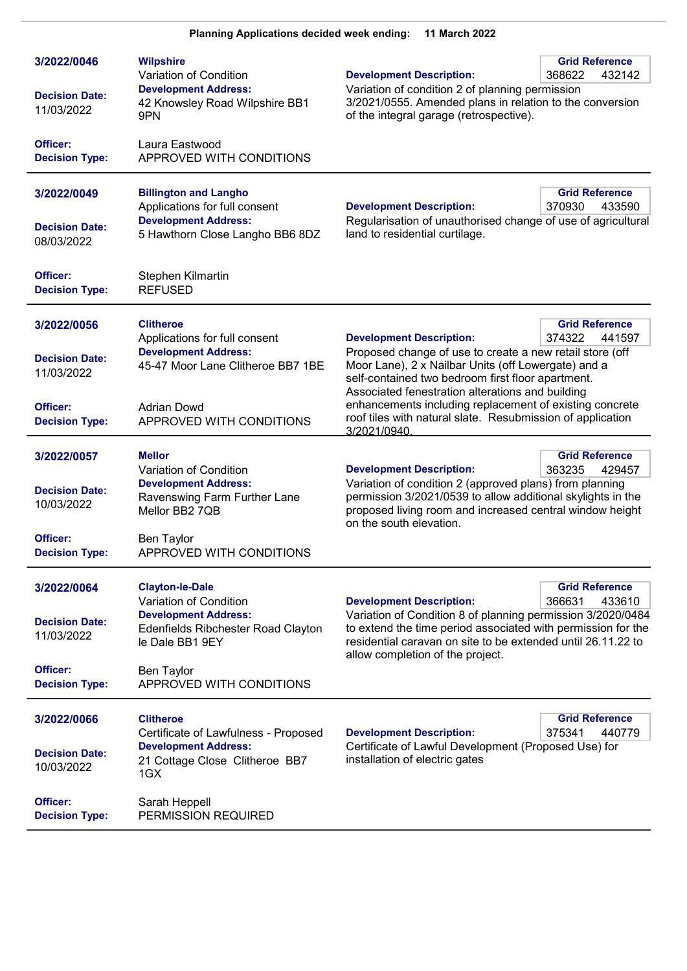| 3/2022/0046<br><b>Decision Date:</b><br>11/03/2022 | <b>Wilpshire</b><br>Variation of Condition<br><b>Development Address:</b><br>42 Knowsley Road Wilpshire BB1<br>9PN              | <b>Development Description:</b><br>Variation of condition 2 of planning permission<br>3/2021/0555. Amended plans in relation to the conversion<br>of the integral garage (retrospective).                                       | <b>Grid Reference</b><br>432142<br>368622 |
|----------------------------------------------------|---------------------------------------------------------------------------------------------------------------------------------|---------------------------------------------------------------------------------------------------------------------------------------------------------------------------------------------------------------------------------|-------------------------------------------|
| Officer:<br><b>Decision Type:</b>                  | Laura Eastwood<br>APPROVED WITH CONDITIONS                                                                                      |                                                                                                                                                                                                                                 |                                           |
| 3/2022/0049<br><b>Decision Date:</b><br>08/03/2022 | <b>Billington and Langho</b><br>Applications for full consent<br><b>Development Address:</b><br>5 Hawthorn Close Langho BB6 8DZ | <b>Development Description:</b><br>Regularisation of unauthorised change of use of agricultural<br>land to residential curtilage.                                                                                               | <b>Grid Reference</b><br>370930<br>433590 |
| Officer:<br><b>Decision Type:</b>                  | Stephen Kilmartin<br><b>REFUSED</b>                                                                                             |                                                                                                                                                                                                                                 |                                           |
| 3/2022/0056                                        | <b>Clitheroe</b><br>Applications for full consent                                                                               | <b>Development Description:</b>                                                                                                                                                                                                 | <b>Grid Reference</b><br>374322<br>441597 |
| <b>Decision Date:</b><br>11/03/2022                | <b>Development Address:</b><br>45-47 Moor Lane Clitheroe BB7 1BE                                                                | Proposed change of use to create a new retail store (off<br>Moor Lane), 2 x Nailbar Units (off Lowergate) and a<br>self-contained two bedroom first floor apartment.<br>Associated fenestration alterations and building        |                                           |
| Officer:<br><b>Decision Type:</b>                  | <b>Adrian Dowd</b><br>APPROVED WITH CONDITIONS                                                                                  | enhancements including replacement of existing concrete<br>roof tiles with natural slate. Resubmission of application<br>3/2021/0940                                                                                            |                                           |
| 3/2022/0057                                        | <b>Mellor</b><br>Variation of Condition                                                                                         | <b>Development Description:</b>                                                                                                                                                                                                 | <b>Grid Reference</b><br>363235<br>429457 |
| <b>Decision Date:</b><br>10/03/2022                | <b>Development Address:</b><br>Ravenswing Farm Further Lane<br>Mellor BB2 7QB                                                   | Variation of condition 2 (approved plans) from planning<br>permission 3/2021/0539 to allow additional skylights in the<br>proposed living room and increased central window height<br>on the south elevation.                   |                                           |
| Officer:<br><b>Decision Type:</b>                  | <b>Ben Taylor</b><br>APPROVED WITH CONDITIONS                                                                                   |                                                                                                                                                                                                                                 |                                           |
| 3/2022/0064                                        | <b>Clayton-le-Dale</b><br>Variation of Condition                                                                                | <b>Development Description:</b>                                                                                                                                                                                                 | <b>Grid Reference</b><br>366631<br>433610 |
| <b>Decision Date:</b><br>11/03/2022                | <b>Development Address:</b><br>Edenfields Ribchester Road Clayton<br>le Dale BB1 9EY                                            | Variation of Condition 8 of planning permission 3/2020/0484<br>to extend the time period associated with permission for the<br>residential caravan on site to be extended until 26.11.22 to<br>allow completion of the project. |                                           |
| Officer:<br><b>Decision Type:</b>                  | <b>Ben Taylor</b><br>APPROVED WITH CONDITIONS                                                                                   |                                                                                                                                                                                                                                 |                                           |
| 3/2022/0066                                        | <b>Clitheroe</b><br>Certificate of Lawfulness - Proposed                                                                        | <b>Development Description:</b>                                                                                                                                                                                                 | <b>Grid Reference</b><br>375341<br>440779 |
| <b>Decision Date:</b><br>10/03/2022                | <b>Development Address:</b><br>21 Cottage Close Clitheroe BB7<br>1GX                                                            | Certificate of Lawful Development (Proposed Use) for<br>installation of electric gates                                                                                                                                          |                                           |
| Officer:<br><b>Decision Type:</b>                  | Sarah Heppell<br>PERMISSION REQUIRED                                                                                            |                                                                                                                                                                                                                                 |                                           |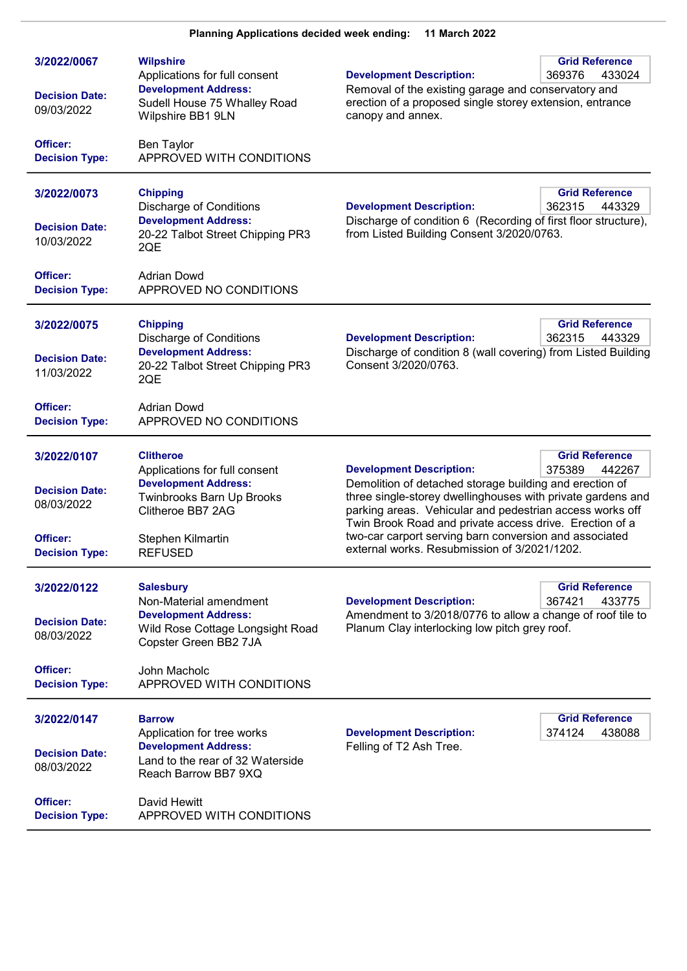| 3/2022/0067                         | <b>Wilpshire</b><br>Applications for full consent                                        | <b>Development Description:</b>                                                                                                                                                                                                                                                                                                                         | <b>Grid Reference</b><br>369376<br>433024 |
|-------------------------------------|------------------------------------------------------------------------------------------|---------------------------------------------------------------------------------------------------------------------------------------------------------------------------------------------------------------------------------------------------------------------------------------------------------------------------------------------------------|-------------------------------------------|
| <b>Decision Date:</b><br>09/03/2022 | <b>Development Address:</b><br>Sudell House 75 Whalley Road<br>Wilpshire BB1 9LN         | Removal of the existing garage and conservatory and<br>erection of a proposed single storey extension, entrance<br>canopy and annex.                                                                                                                                                                                                                    |                                           |
| Officer:<br><b>Decision Type:</b>   | Ben Taylor<br>APPROVED WITH CONDITIONS                                                   |                                                                                                                                                                                                                                                                                                                                                         |                                           |
| 3/2022/0073                         | <b>Chipping</b><br><b>Discharge of Conditions</b>                                        | <b>Development Description:</b>                                                                                                                                                                                                                                                                                                                         | <b>Grid Reference</b><br>362315<br>443329 |
| <b>Decision Date:</b><br>10/03/2022 | <b>Development Address:</b><br>20-22 Talbot Street Chipping PR3<br>2QE                   | Discharge of condition 6 (Recording of first floor structure),<br>from Listed Building Consent 3/2020/0763.                                                                                                                                                                                                                                             |                                           |
| Officer:<br><b>Decision Type:</b>   | <b>Adrian Dowd</b><br>APPROVED NO CONDITIONS                                             |                                                                                                                                                                                                                                                                                                                                                         |                                           |
| 3/2022/0075                         | <b>Chipping</b><br><b>Discharge of Conditions</b>                                        | <b>Development Description:</b>                                                                                                                                                                                                                                                                                                                         | <b>Grid Reference</b><br>362315<br>443329 |
| <b>Decision Date:</b><br>11/03/2022 | <b>Development Address:</b><br>20-22 Talbot Street Chipping PR3<br>2QE                   | Discharge of condition 8 (wall covering) from Listed Building<br>Consent 3/2020/0763.                                                                                                                                                                                                                                                                   |                                           |
| Officer:<br><b>Decision Type:</b>   | <b>Adrian Dowd</b><br>APPROVED NO CONDITIONS                                             |                                                                                                                                                                                                                                                                                                                                                         |                                           |
| 3/2022/0107                         | <b>Clitheroe</b><br>Applications for full consent                                        | <b>Development Description:</b>                                                                                                                                                                                                                                                                                                                         | <b>Grid Reference</b><br>375389<br>442267 |
| <b>Decision Date:</b><br>08/03/2022 | <b>Development Address:</b><br><b>Twinbrooks Barn Up Brooks</b><br>Clitheroe BB7 2AG     | Demolition of detached storage building and erection of<br>three single-storey dwellinghouses with private gardens and<br>parking areas. Vehicular and pedestrian access works off<br>Twin Brook Road and private access drive. Erection of a<br>two-car carport serving barn conversion and associated<br>external works. Resubmission of 3/2021/1202. |                                           |
| Officer:<br><b>Decision Type:</b>   | Stephen Kilmartin<br><b>REFUSED</b>                                                      |                                                                                                                                                                                                                                                                                                                                                         |                                           |
| 3/2022/0122                         | <b>Salesbury</b><br>Non-Material amendment                                               | <b>Development Description:</b>                                                                                                                                                                                                                                                                                                                         | <b>Grid Reference</b><br>367421<br>433775 |
| <b>Decision Date:</b><br>08/03/2022 | <b>Development Address:</b><br>Wild Rose Cottage Longsight Road<br>Copster Green BB2 7JA | Amendment to 3/2018/0776 to allow a change of roof tile to<br>Planum Clay interlocking low pitch grey roof.                                                                                                                                                                                                                                             |                                           |
| Officer:<br><b>Decision Type:</b>   | John Macholc<br>APPROVED WITH CONDITIONS                                                 |                                                                                                                                                                                                                                                                                                                                                         |                                           |
| 3/2022/0147                         | <b>Barrow</b><br>Application for tree works                                              | <b>Development Description:</b>                                                                                                                                                                                                                                                                                                                         | <b>Grid Reference</b><br>374124<br>438088 |
| <b>Decision Date:</b><br>08/03/2022 | <b>Development Address:</b><br>Land to the rear of 32 Waterside<br>Reach Barrow BB7 9XQ  | Felling of T2 Ash Tree.                                                                                                                                                                                                                                                                                                                                 |                                           |
| Officer:<br><b>Decision Type:</b>   | David Hewitt<br>APPROVED WITH CONDITIONS                                                 |                                                                                                                                                                                                                                                                                                                                                         |                                           |